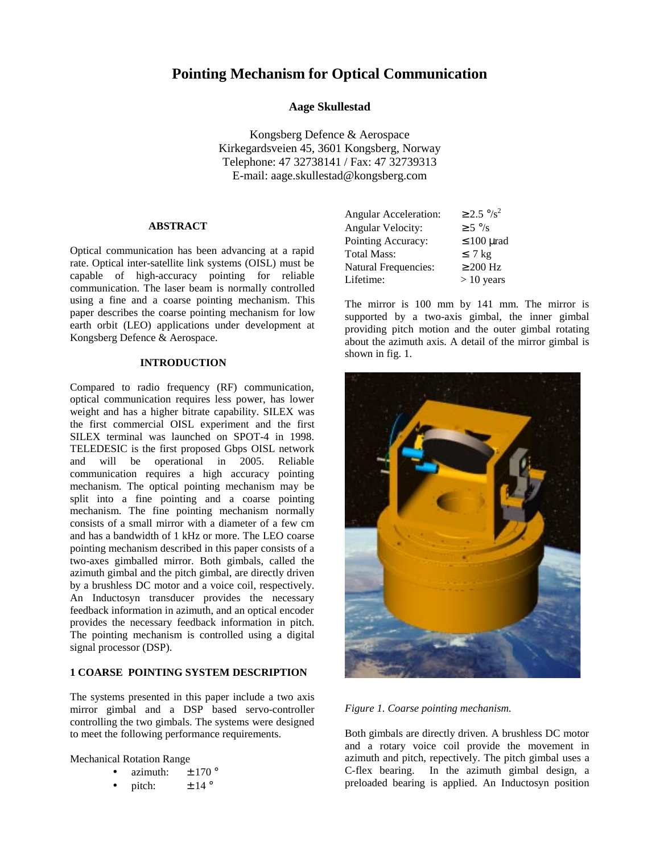# **Pointing Mechanism for Optical Communication**

# **Aage Skullestad**

Kongsberg Defence & Aerospace Kirkegardsveien 45, 3601 Kongsberg, Norway Telephone: 47 32738141 / Fax: 47 32739313 E-mail: aage.skullestad@kongsberg.com

## **ABSTRACT**

Optical communication has been advancing at a rapid rate. Optical inter-satellite link systems (OISL) must be capable of high-accuracy pointing for reliable communication. The laser beam is normally controlled using a fine and a coarse pointing mechanism. This paper describes the coarse pointing mechanism for low earth orbit (LEO) applications under development at Kongsberg Defence & Aerospace.

# **INTRODUCTION**

Compared to radio frequency (RF) communication, optical communication requires less power, has lower weight and has a higher bitrate capability. SILEX was the first commercial OISL experiment and the first SILEX terminal was launched on SPOT-4 in 1998. TELEDESIC is the first proposed Gbps OISL network and will be operational in 2005. Reliable communication requires a high accuracy pointing mechanism. The optical pointing mechanism may be split into a fine pointing and a coarse pointing mechanism. The fine pointing mechanism normally consists of a small mirror with a diameter of a few cm and has a bandwidth of 1 kHz or more. The LEO coarse pointing mechanism described in this paper consists of a two-axes gimballed mirror. Both gimbals, called the azimuth gimbal and the pitch gimbal, are directly driven by a brushless DC motor and a voice coil, respectively. An Inductosyn transducer provides the necessary feedback information in azimuth, and an optical encoder provides the necessary feedback information in pitch. The pointing mechanism is controlled using a digital signal processor (DSP).

## **1 COARSE POINTING SYSTEM DESCRIPTION**

The systems presented in this paper include a two axis mirror gimbal and a DSP based servo-controller controlling the two gimbals. The systems were designed to meet the following performance requirements.

Mechanical Rotation Range

- azimuth:  $\pm$  170 °
- pitch:  $\pm 14^\circ$

| <b>Angular Acceleration:</b> | $\geq$ 2.5 °/s <sup>2</sup> |
|------------------------------|-----------------------------|
| Angular Velocity:            | $\geq$ 5 $\degree$ /s       |
| Pointing Accuracy:           | $\leq 100$ µrad             |
| <b>Total Mass:</b>           | $\leq 7$ kg                 |
| <b>Natural Frequencies:</b>  | $\geq 200$ Hz               |
| Lifetime:                    | $> 10$ years                |

The mirror is 100 mm by 141 mm. The mirror is supported by a two-axis gimbal, the inner gimbal providing pitch motion and the outer gimbal rotating about the azimuth axis. A detail of the mirror gimbal is shown in fig. 1.



## *Figure 1. Coarse pointing mechanism.*

Both gimbals are directly driven. A brushless DC motor and a rotary voice coil provide the movement in azimuth and pitch, repectively. The pitch gimbal uses a C-flex bearing. In the azimuth gimbal design, a preloaded bearing is applied. An Inductosyn position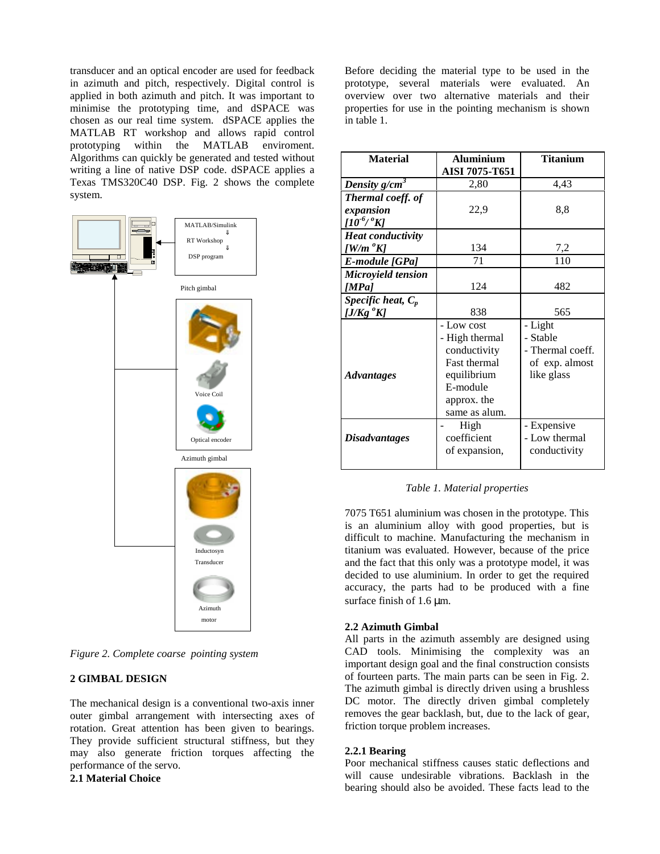transducer and an optical encoder are used for feedback in azimuth and pitch, respectively. Digital control is applied in both azimuth and pitch. It was important to minimise the prototyping time, and dSPACE was chosen as our real time system. dSPACE applies the MATLAB RT workshop and allows rapid control prototyping within the MATLAB enviroment. Algorithms can quickly be generated and tested without writing a line of native DSP code. dSPACE applies a Texas TMS320C40 DSP. Fig. 2 shows the complete system.



*Figure 2. Complete coarse pointing system*

# **2 GIMBAL DESIGN**

The mechanical design is a conventional two-axis inner outer gimbal arrangement with intersecting axes of rotation. Great attention has been given to bearings. They provide sufficient structural stiffness, but they may also generate friction torques affecting the performance of the servo.

**2.1 Material Choice**

Before deciding the material type to be used in the prototype, several materials were evaluated. An overview over two alternative materials and their properties for use in the pointing mechanism is shown in table 1.

| <b>Material</b>                      | <b>Aluminium</b><br>AISI 7075-T651 | <b>Titanium</b>  |
|--------------------------------------|------------------------------------|------------------|
| Density $g/cm^3$                     | 2,80                               | 4,43             |
| Thermal coeff. of                    |                                    |                  |
| expansion<br>$[10^{-6}/^{\degree}K]$ | 22,9                               | 8.8              |
| <b>Heat conductivity</b>             |                                    |                  |
| [W/m °K]                             | 134                                | 7,2              |
| E-module [GPa]                       | 71                                 | 110              |
| Microyield tension                   |                                    |                  |
| [MPa]                                | 124                                | 482              |
| Specific heat, $C_p$                 |                                    |                  |
| [ $J/Kg$ $^oK$ ]                     | 838                                | 565              |
|                                      | - Low cost                         | - Light          |
|                                      | - High thermal                     | - Stable         |
|                                      | conductivity                       | - Thermal coeff. |
|                                      | Fast thermal                       | of exp. almost   |
| <b>Advantages</b>                    | equilibrium                        | like glass       |
|                                      | E-module                           |                  |
|                                      | approx. the                        |                  |
|                                      | same as alum.                      |                  |
|                                      | High                               | - Expensive      |
| <b>Disadvantages</b>                 | coefficient                        | - Low thermal    |
|                                      | of expansion,                      | conductivity     |
|                                      |                                    |                  |

*Table 1. Material properties*

7075 T651 aluminium was chosen in the prototype. This is an aluminium alloy with good properties, but is difficult to machine. Manufacturing the mechanism in titanium was evaluated. However, because of the price and the fact that this only was a prototype model, it was decided to use aluminium. In order to get the required accuracy, the parts had to be produced with a fine surface finish of 1.6  $\mu$ m.

#### **2.2 Azimuth Gimbal**

All parts in the azimuth assembly are designed using CAD tools. Minimising the complexity was an important design goal and the final construction consists of fourteen parts. The main parts can be seen in Fig. 2. The azimuth gimbal is directly driven using a brushless DC motor. The directly driven gimbal completely removes the gear backlash, but, due to the lack of gear, friction torque problem increases.

#### **2.2.1 Bearing**

Poor mechanical stiffness causes static deflections and will cause undesirable vibrations. Backlash in the bearing should also be avoided. These facts lead to the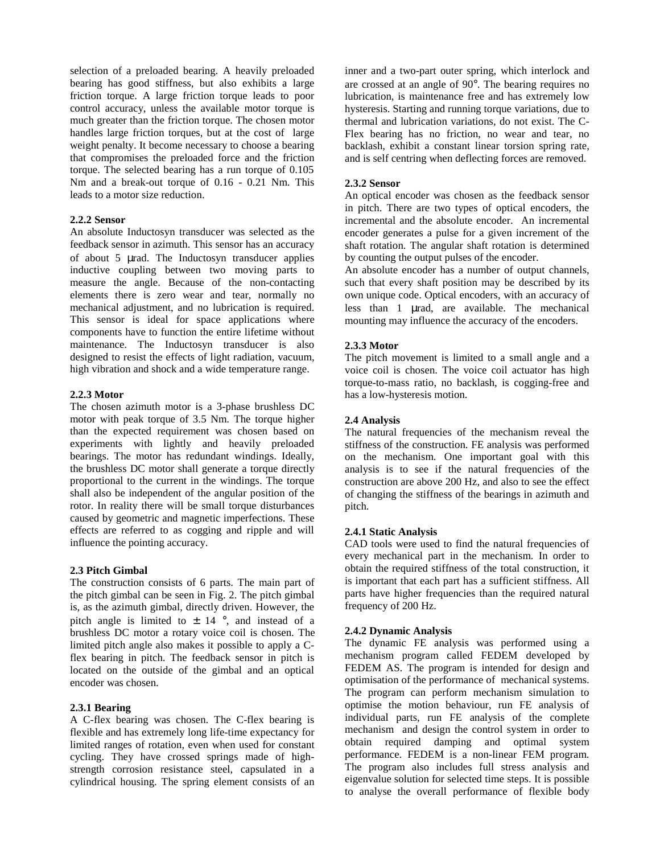selection of a preloaded bearing. A heavily preloaded bearing has good stiffness, but also exhibits a large friction torque. A large friction torque leads to poor control accuracy, unless the available motor torque is much greater than the friction torque. The chosen motor handles large friction torques, but at the cost of large weight penalty. It become necessary to choose a bearing that compromises the preloaded force and the friction torque. The selected bearing has a run torque of 0.105 Nm and a break-out torque of 0.16 - 0.21 Nm. This leads to a motor size reduction.

## **2.2.2 Sensor**

An absolute Inductosyn transducer was selected as the feedback sensor in azimuth. This sensor has an accuracy of about 5 µrad. The Inductosyn transducer applies inductive coupling between two moving parts to measure the angle. Because of the non-contacting elements there is zero wear and tear, normally no mechanical adjustment, and no lubrication is required. This sensor is ideal for space applications where components have to function the entire lifetime without maintenance. The Inductosyn transducer is also designed to resist the effects of light radiation, vacuum, high vibration and shock and a wide temperature range.

# **2.2.3 Motor**

The chosen azimuth motor is a 3-phase brushless DC motor with peak torque of 3.5 Nm. The torque higher than the expected requirement was chosen based on experiments with lightly and heavily preloaded bearings. The motor has redundant windings. Ideally, the brushless DC motor shall generate a torque directly proportional to the current in the windings. The torque shall also be independent of the angular position of the rotor. In reality there will be small torque disturbances caused by geometric and magnetic imperfections. These effects are referred to as cogging and ripple and will influence the pointing accuracy.

## **2.3 Pitch Gimbal**

The construction consists of 6 parts. The main part of the pitch gimbal can be seen in Fig. 2. The pitch gimbal is, as the azimuth gimbal, directly driven. However, the pitch angle is limited to  $\pm$  14 °, and instead of a brushless DC motor a rotary voice coil is chosen. The limited pitch angle also makes it possible to apply a Cflex bearing in pitch. The feedback sensor in pitch is located on the outside of the gimbal and an optical encoder was chosen.

#### **2.3.1 Bearing**

A C-flex bearing was chosen. The C-flex bearing is flexible and has extremely long life-time expectancy for limited ranges of rotation, even when used for constant cycling. They have crossed springs made of highstrength corrosion resistance steel, capsulated in a cylindrical housing. The spring element consists of an

inner and a two-part outer spring, which interlock and are crossed at an angle of 90°. The bearing requires no lubrication, is maintenance free and has extremely low hysteresis. Starting and running torque variations, due to thermal and lubrication variations, do not exist. The C-Flex bearing has no friction, no wear and tear, no backlash, exhibit a constant linear torsion spring rate, and is self centring when deflecting forces are removed.

#### **2.3.2 Sensor**

An optical encoder was chosen as the feedback sensor in pitch. There are two types of optical encoders, the incremental and the absolute encoder. An incremental encoder generates a pulse for a given increment of the shaft rotation. The angular shaft rotation is determined by counting the output pulses of the encoder.

An absolute encoder has a number of output channels, such that every shaft position may be described by its own unique code. Optical encoders, with an accuracy of less than 1 µrad, are available. The mechanical mounting may influence the accuracy of the encoders.

#### **2.3.3 Motor**

The pitch movement is limited to a small angle and a voice coil is chosen. The voice coil actuator has high torque-to-mass ratio, no backlash, is cogging-free and has a low-hysteresis motion.

#### **2.4 Analysis**

The natural frequencies of the mechanism reveal the stiffness of the construction. FE analysis was performed on the mechanism. One important goal with this analysis is to see if the natural frequencies of the construction are above 200 Hz, and also to see the effect of changing the stiffness of the bearings in azimuth and pitch.

#### **2.4.1 Static Analysis**

CAD tools were used to find the natural frequencies of every mechanical part in the mechanism. In order to obtain the required stiffness of the total construction, it is important that each part has a sufficient stiffness. All parts have higher frequencies than the required natural frequency of 200 Hz.

## **2.4.2 Dynamic Analysis**

The dynamic FE analysis was performed using a mechanism program called FEDEM developed by FEDEM AS. The program is intended for design and optimisation of the performance of mechanical systems. The program can perform mechanism simulation to optimise the motion behaviour, run FE analysis of individual parts, run FE analysis of the complete mechanism and design the control system in order to obtain required damping and optimal system performance. FEDEM is a non-linear FEM program. The program also includes full stress analysis and eigenvalue solution for selected time steps. It is possible to analyse the overall performance of flexible body